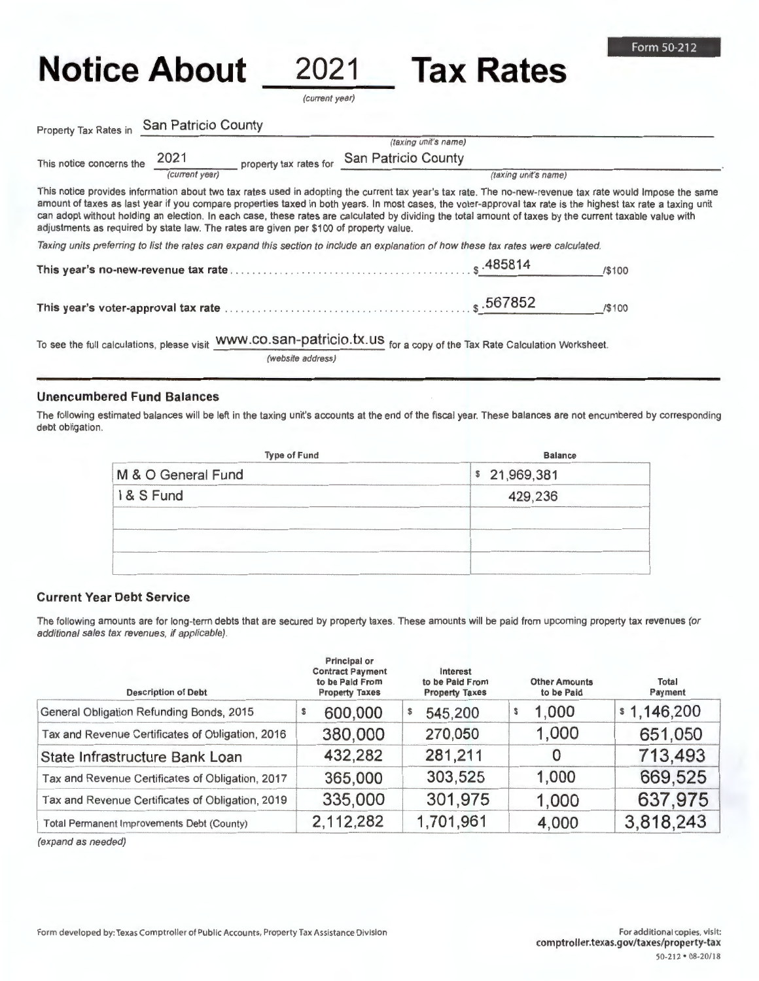## **Notice About 2021 Tax Rates**

(current year)

Property Tax Rates in San Patricio County

|                                                                                        |                |                            | (taxing unit's name)                                                                                                                |                    |                                                                                                                                                                                                                                                                                                                                                                                                                                                                                     |
|----------------------------------------------------------------------------------------|----------------|----------------------------|-------------------------------------------------------------------------------------------------------------------------------------|--------------------|-------------------------------------------------------------------------------------------------------------------------------------------------------------------------------------------------------------------------------------------------------------------------------------------------------------------------------------------------------------------------------------------------------------------------------------------------------------------------------------|
| This notice concerns the                                                               | 2021           | property tax rates for     | San Patricio County                                                                                                                 |                    |                                                                                                                                                                                                                                                                                                                                                                                                                                                                                     |
|                                                                                        | (current year) |                            | (taxing unit's name)                                                                                                                |                    |                                                                                                                                                                                                                                                                                                                                                                                                                                                                                     |
| adjustments as required by state law. The rates are given per \$100 of property value. |                |                            |                                                                                                                                     |                    | This notice provides information about two tax rates used in adopting the current tax year's tax rate. The no-new-revenue tax rate would Impose the same<br>amount of taxes as last year if you compare properties taxed in both years. In most cases, the voter-approval tax rate is the highest tax rate a taxing unit<br>can adopt without holding an election. In each case, these rates are calculated by dividing the total amount of taxes by the current taxable value with |
|                                                                                        |                |                            | Taxing units preferring to list the rates can expand this section to include an explanation of how these tax rates were calculated. |                    |                                                                                                                                                                                                                                                                                                                                                                                                                                                                                     |
|                                                                                        |                |                            |                                                                                                                                     | s.485814           | /\$100                                                                                                                                                                                                                                                                                                                                                                                                                                                                              |
|                                                                                        |                |                            |                                                                                                                                     | $\sqrt{s}$ .567852 | /\$100                                                                                                                                                                                                                                                                                                                                                                                                                                                                              |
|                                                                                        |                | usus on can patrioin ty up |                                                                                                                                     |                    |                                                                                                                                                                                                                                                                                                                                                                                                                                                                                     |

To see the full calculations, please visit WWW.CO.SAH-PATTICIO.TX.US for a copy of the Tax Rate Calculation Worksheet.

(website address)

## **Unencumbered Fund Balances**

The following estimated balances will be left in the taxing unit's accounts at the end of the fiscal year. These balances are not encumbered by corresponding debt obligation.

| <b>Type of Fund</b> | <b>Balance</b> |  |  |
|---------------------|----------------|--|--|
| M & O General Fund  | \$21,969,381   |  |  |
| I & S Fund          | 429,236        |  |  |
|                     |                |  |  |
|                     |                |  |  |

## **Current Year Debt Service**

The following amounts are for long-term debts that are secured by property taxes. These amounts will be paid from upcoming property tax revenues (or additional sales tax revenues, if applicable).

| <b>Description of Debt</b>                       | Principal or<br><b>Contract Payment</b><br>to be Paid From<br><b>Property Taxes</b> | Interest<br>to be Paid From<br><b>Property Taxes</b> | <b>Other Amounts</b><br>to be Paid | Total<br>Payment |
|--------------------------------------------------|-------------------------------------------------------------------------------------|------------------------------------------------------|------------------------------------|------------------|
| General Obligation Refunding Bonds, 2015         | 600,000                                                                             | 545,200                                              | 1.000<br>\$                        | \$1,146,200      |
| Tax and Revenue Certificates of Obligation, 2016 | 380,000                                                                             | 270,050                                              | 1,000                              | 651,050          |
| State Infrastructure Bank Loan                   | 432,282                                                                             | 281,211                                              |                                    | 713,493          |
| Tax and Revenue Certificates of Obligation, 2017 | 365,000                                                                             | 303,525                                              | 1,000                              | 669,525          |
| Tax and Revenue Certificates of Obligation, 2019 | 335,000                                                                             | 301,975                                              | 1,000                              | 637,975          |
| Total Permanent Improvements Debt (County)       | 2,112,282                                                                           | 1,701,961                                            | 4,000                              | 3,818,243        |

(expand as needed)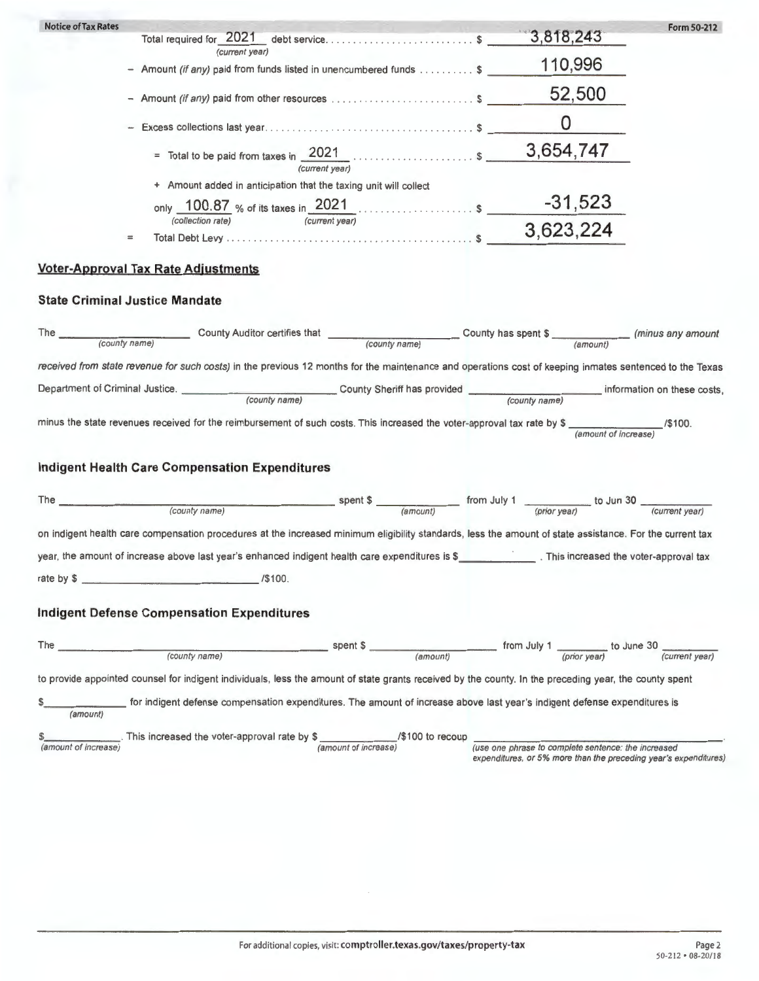| <b>Notice of Tax Rates</b>                                                                                                                                                                                                                                                             | Form 50-212                                                                                                             |
|----------------------------------------------------------------------------------------------------------------------------------------------------------------------------------------------------------------------------------------------------------------------------------------|-------------------------------------------------------------------------------------------------------------------------|
| (current year)                                                                                                                                                                                                                                                                         |                                                                                                                         |
| - Amount (if any) paid from funds listed in unencumbered funds \$                                                                                                                                                                                                                      | 110,996                                                                                                                 |
|                                                                                                                                                                                                                                                                                        | 52,500                                                                                                                  |
|                                                                                                                                                                                                                                                                                        |                                                                                                                         |
|                                                                                                                                                                                                                                                                                        |                                                                                                                         |
| + Amount added in anticipation that the taxing unit will collect                                                                                                                                                                                                                       |                                                                                                                         |
| only $\frac{100.87}{\sqrt{100\cdot \text{colic}(\text{correlation rate})}}$ % of its taxes in $\frac{2021}{\sqrt{\text{correlation rate}}}$                                                                                                                                            |                                                                                                                         |
| $=$                                                                                                                                                                                                                                                                                    |                                                                                                                         |
| <b>Voter-Approval Tax Rate Adjustments</b>                                                                                                                                                                                                                                             |                                                                                                                         |
| <b>State Criminal Justice Mandate</b>                                                                                                                                                                                                                                                  |                                                                                                                         |
| The County name) County Auditor certifies that County name County has spent \$ (county name) (county name) County name                                                                                                                                                                 |                                                                                                                         |
| received from state revenue for such costs) in the previous 12 months for the maintenance and operations cost of keeping inmates sentenced to the Texas                                                                                                                                |                                                                                                                         |
|                                                                                                                                                                                                                                                                                        |                                                                                                                         |
| minus the state revenues received for the reimbursement of such costs. This increased the voter-approval tax rate by $\frac{2}{(amount \ of \ increase)}$ /\$100.                                                                                                                      |                                                                                                                         |
| <b>Indigent Health Care Compensation Expenditures</b>                                                                                                                                                                                                                                  |                                                                                                                         |
| The $\frac{1}{\frac{1}{2}\left(\frac{1}{2}\right)^{1/2}}$ (county name) (county name) spent \$ $\frac{1}{\frac{1}{2}\left(\frac{1}{2}\right)^{1/2}}$ from July 1 $\frac{1}{\frac{1}{2}\left(\frac{1}{2}\right)^{1/2}}$ to Jun 30 $\frac{1}{\frac{1}{2}\left(\frac{1}{2}\right)^{1/2}}$ |                                                                                                                         |
| on indigent health care compensation procedures at the increased minimum eligibility standards, less the amount of state assistance. For the current tax                                                                                                                               |                                                                                                                         |
| year, the amount of increase above last year's enhanced indigent health care expenditures is \$ This increased the voter-approval tax                                                                                                                                                  |                                                                                                                         |
| /\$100.<br>rate by \$                                                                                                                                                                                                                                                                  |                                                                                                                         |
| <b>Indigent Defense Compensation Expenditures</b>                                                                                                                                                                                                                                      |                                                                                                                         |
| The 2008 2009 2010 2011 2022 2023 2024 2025 2026 2027 2028 2021 2022 2023 2024 2022 2023 2024 2025 2026 2027 20<br>spent \$                                                                                                                                                            |                                                                                                                         |
| (county name)                                                                                                                                                                                                                                                                          | $\frac{1}{(amount)}$ from July 1 $\frac{1}{(prior \text{ year})}$ to June 30 $\frac{1}{(current \text{ year})}$         |
| to provide appointed counsel for indigent individuals, less the amount of state grants received by the county. In the preceding year, the county spent                                                                                                                                 |                                                                                                                         |
| for indigent defense compensation expenditures. The amount of increase above last year's indigent defense expenditures is<br>(amount)                                                                                                                                                  |                                                                                                                         |
| \$\left\, \timessed the voter-approval rate by \$\left\, \timessed in creased the voter-approval rate by \$\left\, \timessed famount of increasel                                                                                                                                      | (use one phrase to complete sentence: the increased<br>expenditures, or 5% more than the preceding year's expenditures) |